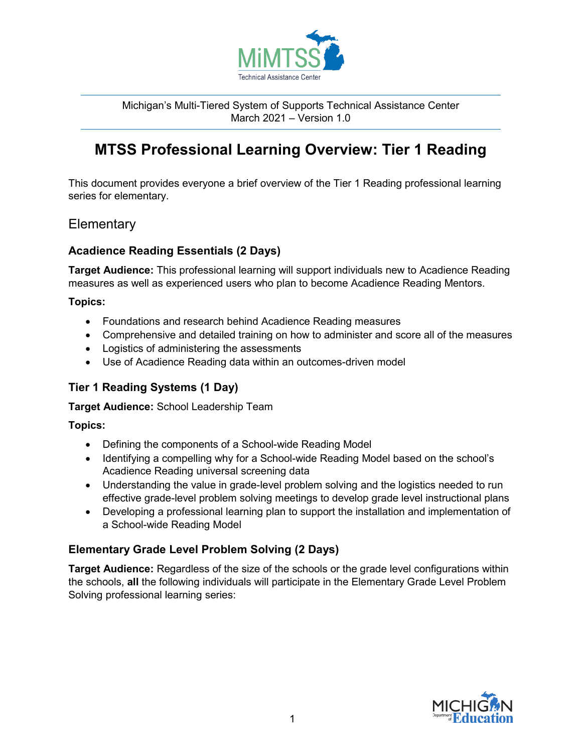

Michigan's Multi-Tiered System of Supports Technical Assistance Center March 2021 – Version 1.0

# **MTSS Professional Learning Overview: Tier 1 Reading**

This document provides everyone a brief overview of the Tier 1 Reading professional learning series for elementary.

## **Elementary**

## **Acadience Reading Essentials (2 Days)**

**Target Audience:** This professional learning will support individuals new to Acadience Reading measures as well as experienced users who plan to become Acadience Reading Mentors.

#### **Topics:**

- Foundations and research behind Acadience Reading measures
- Comprehensive and detailed training on how to administer and score all of the measures
- Logistics of administering the assessments
- Use of Acadience Reading data within an outcomes-driven model

## **Tier 1 Reading Systems (1 Day)**

**Target Audience:** School Leadership Team

### **Topics:**

- Defining the components of a School-wide Reading Model
- Identifying a compelling why for a School-wide Reading Model based on the school's Acadience Reading universal screening data
- Understanding the value in grade-level problem solving and the logistics needed to run effective grade-level problem solving meetings to develop grade level instructional plans
- Developing a professional learning plan to support the installation and implementation of a School-wide Reading Model

### **Elementary Grade Level Problem Solving (2 Days)**

**Target Audience:** Regardless of the size of the schools or the grade level configurations within the schools, **all** the following individuals will participate in the Elementary Grade Level Problem Solving professional learning series: